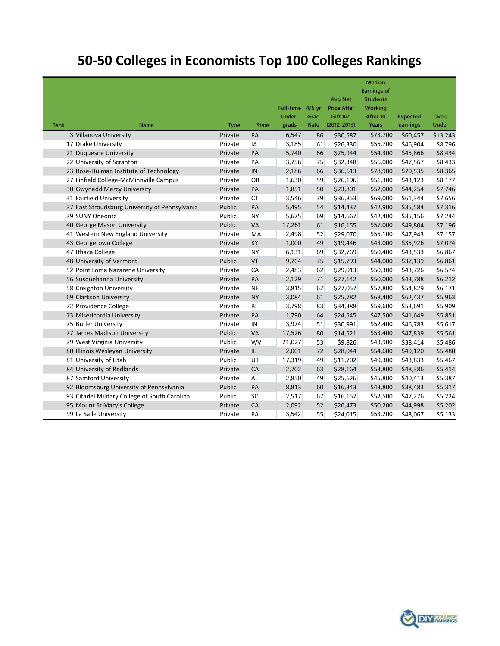# [50-50 Colleges in Economists Top 100 Colleges Rankings](http://wp.me/p1HfHP-4gQ)

|                                               |                                                |             |           |                  |      |                    | <b>Median</b>      |                 |              |
|-----------------------------------------------|------------------------------------------------|-------------|-----------|------------------|------|--------------------|--------------------|-----------------|--------------|
|                                               |                                                |             |           |                  |      |                    | <b>Earnings of</b> |                 |              |
|                                               |                                                |             |           |                  |      | <b>Avg Net</b>     | <b>Students</b>    |                 |              |
|                                               |                                                |             |           | Full-time 4/5 yr |      | <b>Price After</b> | <b>Working</b>     |                 |              |
|                                               |                                                |             |           | Under-           | Grad | <b>Gift Aid</b>    | After 10           | <b>Expected</b> | Over/        |
| Rank                                          | Name                                           | <b>Type</b> | State     | grads            | Rate | $(2012 - 2013)$    | Years              | earnings        | <b>Under</b> |
| 3 Villanova University                        |                                                | Private     | PA        | 6,547            | 86   | \$30,587           | \$73,700           | \$60,457        | \$13,243     |
| 17 Drake University                           |                                                | Private     | IA        | 3,185            | 61   | \$26,330           | \$55,700           | \$46,904        | \$8,796      |
| 21 Duquesne University                        |                                                | Private     | PA        | 5,740            | 66   | \$25,944           | \$54,300           | \$45,866        | \$8,434      |
| 22 University of Scranton                     |                                                | Private     | PA        | 3,756            | 75   | \$32,348           | \$56,000           | \$47,567        | \$8,433      |
| 23 Rose-Hulman Institute of Technology        |                                                | Private     | IN        | 2,186            | 66   | \$36,613           | \$78,900           | \$70,535        | \$8,365      |
| 27 Linfield College-McMinnville Campus        |                                                | Private     | OR        | 1,630            | 59   | \$26,196           | \$51,300           | \$43,123        | \$8,177      |
| 30 Gwynedd Mercy University                   |                                                | Private     | PA        | 1,851            | 50   | \$23,801           | \$52,000           | \$44,254        | \$7,746      |
| 31 Fairfield University                       |                                                | Private     | <b>CT</b> | 3,546            | 79   | \$36,853           | \$69,000           | \$61,344        | \$7,656      |
|                                               | 37 East Stroudsburg University of Pennsylvania | Public      | PA        | 5,495            | 54   | \$14,437           | \$42,900           | \$35,584        | \$7,316      |
| 39 SUNY Oneonta                               |                                                | Public      | <b>NY</b> | 5,675            | 69   | \$14,667           | \$42,400           | \$35,156        | \$7,244      |
| 40 George Mason University                    |                                                | Public      | <b>VA</b> | 17,261           | 61   | \$16,155           | \$57,000           | \$49,804        | \$7,196      |
| 41 Western New England University             |                                                | Private     | MA        | 2,498            | 52   | \$29,070           | \$55,100           | \$47,943        | \$7,157      |
| 43 Georgetown College                         |                                                | Private     | KY        | 1,000            | 49   | \$19,446           | \$43,000           | \$35,926        | \$7,074      |
| 47 Ithaca College                             |                                                | Private     | <b>NY</b> | 6,131            | 69   | \$32,769           | \$50,400           | \$43,533        | \$6,867      |
| 48 University of Vermont                      |                                                | Public      | VT        | 9,764            | 75   | \$15,793           | \$44,000           | \$37,139        | \$6,861      |
| 52 Point Loma Nazarene University             |                                                | Private     | CA        | 2,483            | 62   | \$29,013           | \$50,300           | \$43,726        | \$6,574      |
| 56 Susquehanna University                     |                                                | Private     | PA        | 2,129            | 71   | \$27,142           | \$50,000           | \$43,788        | \$6,212      |
| 58 Creighton University                       |                                                | Private     | <b>NE</b> | 3,815            | 67   | \$27,057           | \$57,800           | \$54,829        | \$6,171      |
| 69 Clarkson University                        |                                                | Private     | <b>NY</b> | 3,084            | 61   | \$25,782           | \$68,400           | \$62,437        | \$5,963      |
| 72 Providence College                         |                                                | Private     | RI.       | 3,798            | 83   | \$34,388           | \$59,600           | \$53,691        | \$5,909      |
|                                               | 73 Misericordia University                     | Private     | PA        | 1,790            | 64   | \$24,545           | \$47,500           | \$41,649        | \$5,851      |
| 75 Butler University                          |                                                | Private     | IN        | 3,974            | 51   | \$30,991           | \$52,400           | \$46,783        | \$5,617      |
|                                               | 77 James Madison University                    | Public      | VA        | 17,526           | 80   | \$14,521           | \$53,400           | \$47,839        | \$5,561      |
|                                               | 79 West Virginia University                    | Public      | <b>WV</b> | 21,027           | 53   | \$9,826            | \$43,900           | \$38,414        | \$5,486      |
|                                               | 80 Illinois Wesleyan University                |             | IL.       | 2,001            | 72   | \$28,044           | \$54,600           | \$49,120        | \$5,480      |
|                                               | 81 University of Utah                          |             | UT        | 17,319           | 49   | \$11,702           | \$49,300           | \$43,833        | \$5,467      |
| 84 University of Redlands                     |                                                | Private     | CA        | 2,702            | 63   | \$28,164           | \$53,800           | \$48,386        | \$5,414      |
| 87 Samford University                         |                                                | Private     | AL        | 2,850            | 49   | \$25,626           | \$45,800           | \$40,413        | \$5,387      |
|                                               | 92 Bloomsburg University of Pennsylvania       | Public      | PA        | 8,813            | 60   | \$16,343           | \$43,800           | \$38,483        | \$5,317      |
| 93 Citadel Military College of South Carolina |                                                | Public      | SC        | 2,517            | 67   | \$16,157           | \$52,500           | \$47,276        | \$5,224      |
|                                               | 95 Mount St Mary's College                     | Private     | CA        | 2,092            | 52   | \$26,473           | \$50,200           | \$44,998        | \$5,202      |
| 99 La Salle University                        |                                                | Private     | PA        | 3,542            | 55   | \$24,015           | \$53,200           | \$48,067        | \$5,133      |